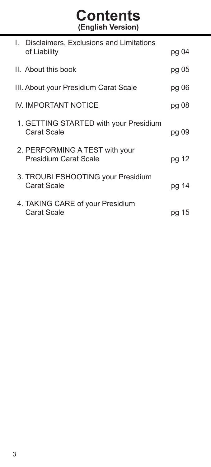# **Contents (English Version)**

| I. Disclaimers, Exclusions and Limitations              |       |
|---------------------------------------------------------|-------|
| of Liability                                            | pg 04 |
| II. About this book                                     | pg 05 |
| III. About your Presidium Carat Scale                   | pg 06 |
| IV. IMPORTANT NOTICE                                    | pg 08 |
| 1. GETTING STARTED with your Presidium<br>Carat Scale   | pg 09 |
| 2. PERFORMING A TEST with your<br>Presidium Carat Scale | pg 12 |
| 3. TROUBLESHOOTING your Presidium<br>Carat Scale        | pg 14 |
| 4. TAKING CARE of your Presidium<br>Carat Scale         | pg 15 |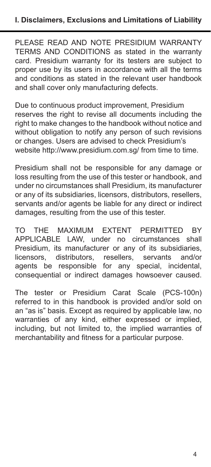PLEASE READ AND NOTE PRESIDIUM WARRANTY TERMS AND CONDITIONS as stated in the warranty card. Presidium warranty for its testers are subject to proper use by its users in accordance with all the terms and conditions as stated in the relevant user handbook and shall cover only manufacturing defects.

Due to continuous product improvement, Presidium reserves the right to revise all documents including the right to make changes to the handbook without notice and without obligation to notify any person of such revisions or changes. Users are advised to check Presidium's website http://www.presidium.com.sg/ from time to time.

Presidium shall not be responsible for any damage or loss resulting from the use of this tester or handbook, and under no circumstances shall Presidium, its manufacturer or any of its subsidiaries, licensors, distributors, resellers, servants and/or agents be liable for any direct or indirect damages, resulting from the use of this tester.

TO THE MAXIMUM EXTENT PERMITTED BY APPLICABLE LAW, under no circumstances shall Presidium, its manufacturer or any of its subsidiaries,<br>licensors. distributors. resellers. servants and/or distributors. agents be responsible for any special, incidental, consequential or indirect damages howsoever caused.

The tester or Presidium Carat Scale (PCS-100n) referred to in this handbook is provided and/or sold on an "as is" basis. Except as required by applicable law, no warranties of any kind, either expressed or implied, including, but not limited to, the implied warranties of merchantability and fitness for a particular purpose.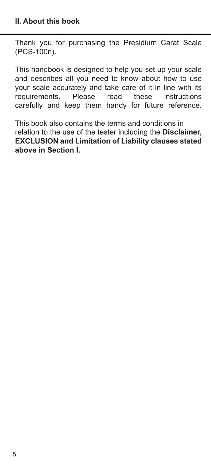Thank you for purchasing the Presidium Carat Scale (PCS-100n).

This handbook is designed to help you set up your scale and describes all you need to know about how to use your scale accurately and take care of it in line with its<br>requirements. Please read these instructions requirements. Please read these instructions carefully and keep them handy for future reference.

This book also contains the terms and conditions in relation to the use of the tester including the **Disclaimer, EXCLUSION and Limitation of Liability clauses stated above in Section I.**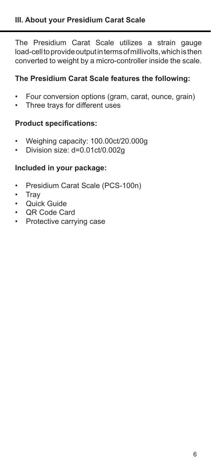The Presidium Carat Scale utilizes a strain gauge load-cell to provide output in terms of millivolts, which is then converted to weight by a micro-controller inside the scale.

## **The Presidium Carat Scale features the following:**

- Four conversion options (gram, carat, ounce, grain)
- Three trays for different uses

## **Product specifications:**

- Weighing capacity:  $100.00$ ct/20.000g<br>• Division size:  $d=0.01$ ct/0.002g
- Division size: d=0.01ct/0.002g

## **Included in your package:**

- Presidium Carat Scale (PCS-100n)
- Tray
- Quick Guide
- QR Code Card
- Protective carrying case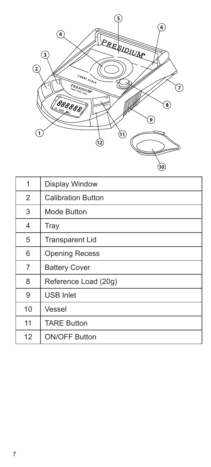

| 1  | Display Window            |
|----|---------------------------|
| 2  | <b>Calibration Button</b> |
| 3  | Mode Button               |
| 4  | Tray                      |
| 5  | <b>Transparent Lid</b>    |
| 6  | <b>Opening Recess</b>     |
| 7  | <b>Battery Cover</b>      |
| 8  | Reference Load (20g)      |
| 9  | <b>USB Inlet</b>          |
| 10 | Vessel                    |
| 11 | <b>TARE Button</b>        |
| 12 | <b>ON/OFF Button</b>      |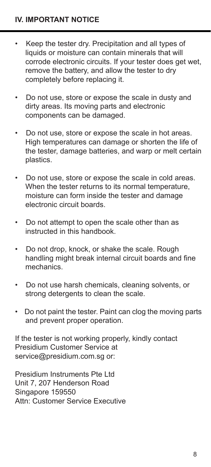- Keep the tester dry. Precipitation and all types of liquids or moisture can contain minerals that will corrode electronic circuits. If your tester does get wet, remove the battery, and allow the tester to dry completely before replacing it.
- Do not use, store or expose the scale in dusty and dirty areas. Its moving parts and electronic components can be damaged.
- Do not use, store or expose the scale in hot areas. High temperatures can damage or shorten the life of the tester, damage batteries, and warp or melt certain plastics.
- Do not use, store or expose the scale in cold areas. When the tester returns to its normal temperature moisture can form inside the tester and damage electronic circuit boards.
- Do not attempt to open the scale other than as instructed in this handbook.
- Do not drop, knock, or shake the scale. Rough handling might break internal circuit boards and fine mechanics.
- Do not use harsh chemicals, cleaning solvents, or strong detergents to clean the scale.
- Do not paint the tester. Paint can clog the moving parts and prevent proper operation.

If the tester is not working properly, kindly contact Presidium Customer Service at service@presidium.com.sg or:

Presidium Instruments Pte Ltd Unit 7, 207 Henderson Road Singapore 159550 Attn: Customer Service Executive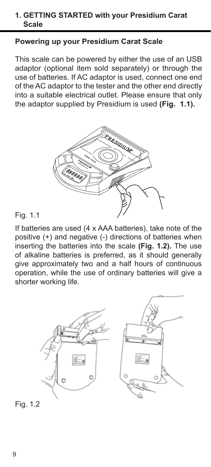#### **1. GETTING STARTED with your Presidium Carat Scale**

## **Powering up your Presidium Carat Scale**

This scale can be powered by either the use of an USB adaptor (optional item sold separately) or through the use of batteries. If AC adaptor is used, connect one end of the AC adaptor to the tester and the other end directly into a suitable electrical outlet. Please ensure that only the adaptor supplied by Presidium is used **(Fig. 1.1).** 



#### Fig. 1.1

If batteries are used (4 x AAA batteries), take note of the positive (+) and negative (-) directions of batteries when inserting the batteries into the scale **(Fig. 1.2).** The use of alkaline batteries is preferred, as it should generally give approximately two and a half hours of continuous operation, while the use of ordinary batteries will give a shorter working life.



Fig. 1.2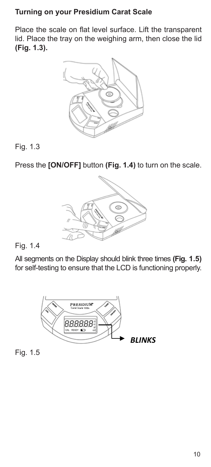## **Turning on your Presidium Carat Scale**

Place the scale on flat level surface. Lift the transparent lid. Place the tray on the weighing arm, then close the lid **(Fig. 1.3).** 



## Fig. 1.3

Press the **[ON/OFF]** button **(Fig. 1.4)** to turn on the scale.



## Fig. 1.4

All segments on the Display should blink three times **(Fig. 1.5)**  for self-testing to ensure that the LCD is functioning properly.



Fig. 1.5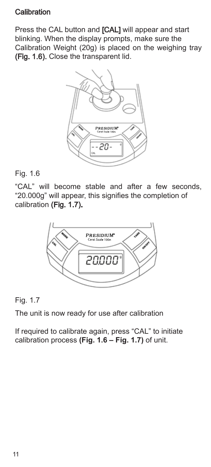## **Calibration**

Press the CAL button and [CAL] will appear and start blinking. When the display prompts, make sure the Calibration Weight (20g) is placed on the weighing tray (Fig. 1.6). Close the transparent lid.



#### Fig. 1.6

"CAL" will become stable and after a few seconds, "20.000g" will appear, this signifies the completion of calibration (Fig. 1.7).



## Fig. 1.7

The unit is now ready for use after calibration

If required to calibrate again, press "CAL" to initiate calibration process **(Fig. 1.6 – Fig. 1.7)** of unit.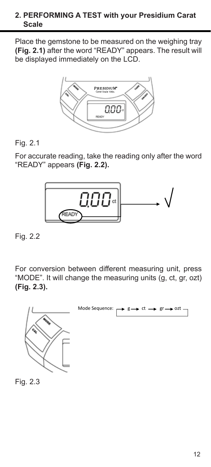### **2. PERFORMING A TEST with your Presidium Carat Scale**

Place the gemstone to be measured on the weighing tray **(Fig. 2.1)** after the word "READY" appears. The result will be displayed immediately on the LCD.



# Fig. 2.1

For accurate reading, take the reading only after the word "READY" appears **(Fig. 2.2).** 



Fig. 2.2

For conversion between different measuring unit, press "MODE". It will change the measuring units (g, ct, gr, ozt) **(Fig. 2.3).**

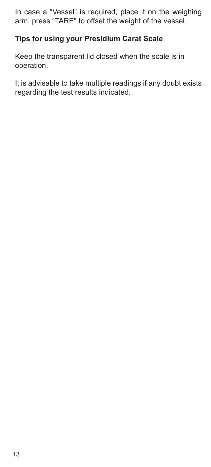In case a "Vessel" is required, place it on the weighing arm, press "TARE" to offset the weight of the vessel.

# **Tips for using your Presidium Carat Scale**

Keep the transparent lid closed when the scale is in operation.

It is advisable to take multiple readings if any doubt exists regarding the test results indicated.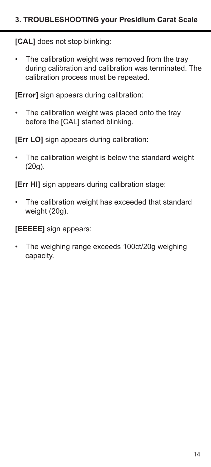**[CAL]** does not stop blinking:

• The calibration weight was removed from the tray during calibration and calibration was terminated. The calibration process must be repeated.

**[Error]** sign appears during calibration:

• The calibration weight was placed onto the tray before the [CAL] started blinking.

**[Err LO]** sign appears during calibration:

The calibration weight is below the standard weight (20g).

**[Err HI]** sign appears during calibration stage:

• The calibration weight has exceeded that standard weight (20g).

**[EEEEE]** sign appears:

The weighing range exceeds 100ct/20g weighing capacity.